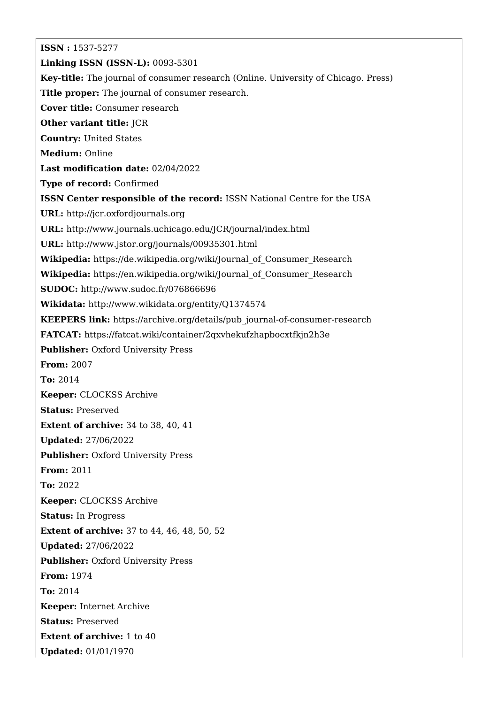**ISSN :** 1537-5277 **Linking ISSN (ISSN-L):** 0093-5301 **Key-title:** The journal of consumer research (Online. University of Chicago. Press) **Title proper:** The journal of consumer research. **Cover title:** Consumer research **Other variant title:** JCR **Country:** United States **Medium:** Online **Last modification date:** 02/04/2022 **Type of record:** Confirmed **ISSN Center responsible of the record:** ISSN National Centre for the USA **URL:** <http://jcr.oxfordjournals.org> **URL:** <http://www.journals.uchicago.edu/JCR/journal/index.html> **URL:** <http://www.jstor.org/journals/00935301.html> **Wikipedia:** [https://de.wikipedia.org/wiki/Journal\\_of\\_Consumer\\_Research](https://de.wikipedia.org/wiki/Journal_of_Consumer_Research) **Wikipedia:** [https://en.wikipedia.org/wiki/Journal\\_of\\_Consumer\\_Research](https://en.wikipedia.org/wiki/Journal_of_Consumer_Research) **SUDOC:** <http://www.sudoc.fr/076866696> **Wikidata:** <http://www.wikidata.org/entity/Q1374574> **KEEPERS link:** [https://archive.org/details/pub\\_journal-of-consumer-research](https://archive.org/details/pub_journal-of-consumer-research) **FATCAT:** <https://fatcat.wiki/container/2qxvhekufzhapbocxtfkjn2h3e> **Publisher:** Oxford University Press **From:** 2007 **To:** 2014 **Keeper:** CLOCKSS Archive **Status:** Preserved **Extent of archive:** 34 to 38, 40, 41 **Updated:** 27/06/2022 **Publisher: Oxford University Press From:** 2011 **To:** 2022 **Keeper:** CLOCKSS Archive **Status:** In Progress **Extent of archive:** 37 to 44, 46, 48, 50, 52 **Updated:** 27/06/2022 **Publisher: Oxford University Press From:** 1974 **To:** 2014 **Keeper:** Internet Archive **Status:** Preserved **Extent of archive:** 1 to 40 **Updated:** 01/01/1970